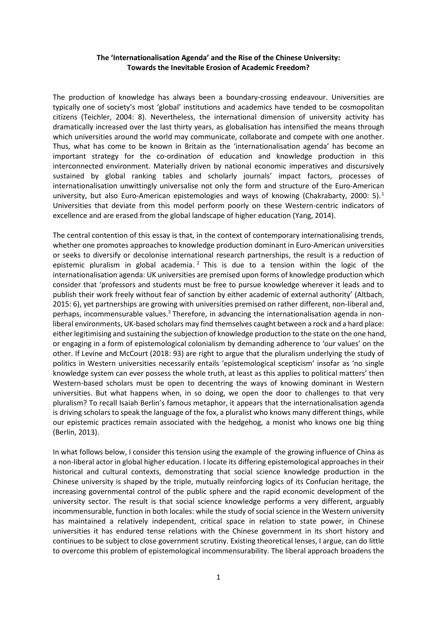# **The 'Internationalisation Agenda' and the Rise of the Chinese University: Towards the Inevitable Erosion of Academic Freedom?**

The production of knowledge has always been a boundary-crossing endeavour. Universities are typically one of society's most 'global' institutions and academics have tended to be cosmopolitan citizens (Teichler, 2004: 8). Nevertheless, the international dimension of university activity has dramatically increased over the last thirty years, as globalisation has intensified the means through which universities around the world may communicate, collaborate and compete with one another. Thus, what has come to be known in Britain as the 'internationalisation agenda' has become an important strategy for the co-ordination of education and knowledge production in this interconnected environment. Materially driven by national economic imperatives and discursively sustained by global ranking tables and scholarly journals' impact factors, processes of internationalisation unwittingly universalise not only the form and structure of the Euro-American university, but also Euro-American epistemologies and ways of knowing (Chakrabarty, 2000: 5).<sup>1</sup> Universities that deviate from this model perform poorly on these Western-centric indicators of excellence and are erased from the global landscape of higher education (Yang, 2014).

The central contention of this essay is that, in the context of contemporary internationalising trends, whether one promotes approaches to knowledge production dominant in Euro-American universities or seeks to diversify or decolonise international research partnerships, the result is a reduction of epistemic pluralism in global academia.<sup>2</sup> This is due to a tension within the logic of the internationalisation agenda: UK universities are premised upon forms of knowledge production which consider that 'professors and students must be free to pursue knowledge wherever it leads and to publish their work freely without fear of sanction by either academic of external authority' (Altbach, 2015: 6), yet partnerships are growing with universities premised on rather different, non-liberal and, perhaps, incommensurable values.<sup>3</sup> Therefore, in advancing the internationalisation agenda in nonliberal environments, UK-based scholars may find themselves caught between a rock and a hard place: either legitimising and sustaining the subjection of knowledge production to the state on the one hand, or engaging in a form of epistemological colonialism by demanding adherence to 'our values' on the other. If Levine and McCourt (2018: 93) are right to argue that the pluralism underlying the study of politics in Western universities necessarily entails 'epistemological scepticism' insofar as 'no single knowledge system can ever possess the whole truth, at least as this applies to political matters' then Western-based scholars must be open to decentring the ways of knowing dominant in Western universities. But what happens when, in so doing, we open the door to challenges to that very pluralism? To recall Isaiah Berlin's famous metaphor, it appears that the internationalisation agenda is driving scholars to speak the language of the fox, a pluralist who knows many different things, while our epistemic practices remain associated with the hedgehog, a monist who knows one big thing (Berlin, 2013).

In what follows below, I consider this tension using the example of the growing influence of China as a non-liberal actor in global higher education. I locate its differing epistemological approaches in their historical and cultural contexts, demonstrating that social science knowledge production in the Chinese university is shaped by the triple, mutually reinforcing logics of its Confucian heritage, the increasing governmental control of the public sphere and the rapid economic development of the university sector. The result is that social science knowledge performs a very different, arguably incommensurable, function in both locales: while the study of social science in the Western university has maintained a relatively independent, critical space in relation to state power, in Chinese universities it has endured tense relations with the Chinese government in its short history and continues to be subject to close government scrutiny. Existing theoretical lenses, I argue, can do little to overcome this problem of epistemological incommensurability. The liberal approach broadens the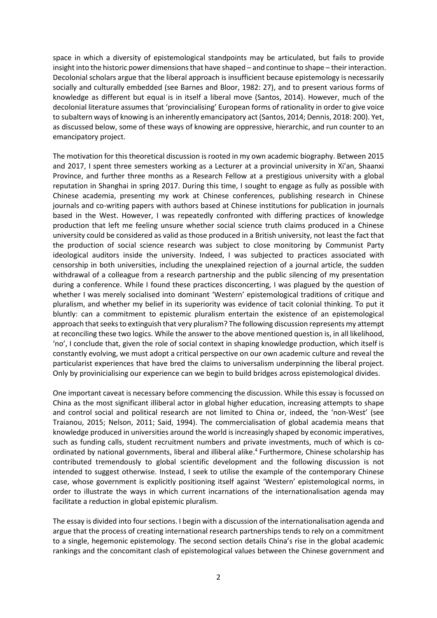space in which a diversity of epistemological standpoints may be articulated, but fails to provide insight into the historic power dimensions that have shaped – and continue to shape – their interaction. Decolonial scholars argue that the liberal approach is insufficient because epistemology is necessarily socially and culturally embedded (see Barnes and Bloor, 1982: 27), and to present various forms of knowledge as different but equal is in itself a liberal move (Santos, 2014). However, much of the decolonial literature assumes that 'provincialising' European forms of rationality in order to give voice to subaltern ways of knowing is an inherently emancipatory act (Santos, 2014; Dennis, 2018: 200). Yet, as discussed below, some of these ways of knowing are oppressive, hierarchic, and run counter to an emancipatory project.

The motivation for this theoretical discussion is rooted in my own academic biography. Between 2015 and 2017, I spent three semesters working as a Lecturer at a provincial university in Xi'an, Shaanxi Province, and further three months as a Research Fellow at a prestigious university with a global reputation in Shanghai in spring 2017. During this time, I sought to engage as fully as possible with Chinese academia, presenting my work at Chinese conferences, publishing research in Chinese journals and co-writing papers with authors based at Chinese institutions for publication in journals based in the West. However, I was repeatedly confronted with differing practices of knowledge production that left me feeling unsure whether social science truth claims produced in a Chinese university could be considered as valid as those produced in a British university, not least the fact that the production of social science research was subject to close monitoring by Communist Party ideological auditors inside the university. Indeed, I was subjected to practices associated with censorship in both universities, including the unexplained rejection of a journal article, the sudden withdrawal of a colleague from a research partnership and the public silencing of my presentation during a conference. While I found these practices disconcerting, I was plagued by the question of whether I was merely socialised into dominant 'Western' epistemological traditions of critique and pluralism, and whether my belief in its superiority was evidence of tacit colonial thinking. To put it bluntly: can a commitment to epistemic pluralism entertain the existence of an epistemological approach that seeks to extinguish that very pluralism? The following discussion represents my attempt at reconciling these two logics. While the answer to the above mentioned question is, in all likelihood, 'no', I conclude that, given the role of social context in shaping knowledge production, which itself is constantly evolving, we must adopt a critical perspective on our own academic culture and reveal the particularist experiences that have bred the claims to universalism underpinning the liberal project. Only by provinicialising our experience can we begin to build bridges across epistemological divides.

One important caveat is necessary before commencing the discussion. While this essay is focussed on China as the most significant illiberal actor in global higher education, increasing attempts to shape and control social and political research are not limited to China or, indeed, the 'non-West' (see Traianou, 2015; Nelson, 2011; Said, 1994). The commercialisation of global academia means that knowledge produced in universities around the world is increasingly shaped by economic imperatives, such as funding calls, student recruitment numbers and private investments, much of which is coordinated by national governments, liberal and illiberal alike. 4 Furthermore, Chinese scholarship has contributed tremendously to global scientific development and the following discussion is not intended to suggest otherwise. Instead, I seek to utilise the example of the contemporary Chinese case, whose government is explicitly positioning itself against 'Western' epistemological norms, in order to illustrate the ways in which current incarnations of the internationalisation agenda may facilitate a reduction in global epistemic pluralism.

The essay is divided into four sections. I begin with a discussion of the internationalisation agenda and argue that the process of creating international research partnerships tends to rely on a commitment to a single, hegemonic epistemology. The second section details China's rise in the global academic rankings and the concomitant clash of epistemological values between the Chinese government and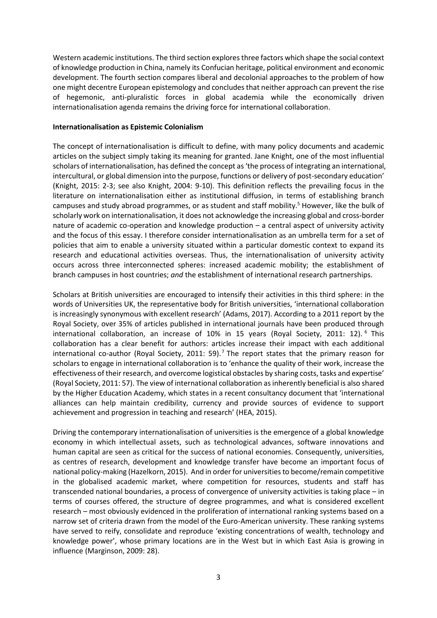Western academic institutions. The third section explores three factors which shape the social context of knowledge production in China, namely its Confucian heritage, political environment and economic development. The fourth section compares liberal and decolonial approaches to the problem of how one might decentre European epistemology and concludes that neither approach can prevent the rise of hegemonic, anti-pluralistic forces in global academia while the economically driven internationalisation agenda remains the driving force for international collaboration.

## **Internationalisation as Epistemic Colonialism**

The concept of internationalisation is difficult to define, with many policy documents and academic articles on the subject simply taking its meaning for granted. Jane Knight, one of the most influential scholars of internationalisation, has defined the concept as 'the process of integrating an international, intercultural, or global dimension into the purpose, functions or delivery of post-secondary education' (Knight, 2015: 2-3; see also Knight, 2004: 9-10). This definition reflects the prevailing focus in the literature on internationalisation either as institutional diffusion, in terms of establishing branch campuses and study abroad programmes, or as student and staff mobility.<sup>5</sup> However, like the bulk of scholarly work on internationalisation, it does not acknowledge the increasing global and cross-border nature of academic co-operation and knowledge production – a central aspect of university activity and the focus of this essay. I therefore consider internationalisation as an umbrella term for a set of policies that aim to enable a university situated within a particular domestic context to expand its research and educational activities overseas. Thus, the internationalisation of university activity occurs across three interconnected spheres: increased academic mobility; the establishment of branch campuses in host countries; *and* the establishment of international research partnerships.

Scholars at British universities are encouraged to intensify their activities in this third sphere: in the words of Universities UK, the representative body for British universities, 'international collaboration is increasingly synonymous with excellent research' (Adams, 2017). According to a 2011 report by the Royal Society, over 35% of articles published in international journals have been produced through international collaboration, an increase of 10% in 15 years (Royal Society, 2011: 12).<sup>6</sup> This collaboration has a clear benefit for authors: articles increase their impact with each additional international co-author (Royal Society, 2011: 59). <sup>7</sup> The report states that the primary reason for scholars to engage in international collaboration is to 'enhance the quality of their work, increase the effectiveness of their research, and overcome logistical obstacles by sharing costs, tasks and expertise' (Royal Society, 2011: 57). The view of international collaboration as inherently beneficial is also shared by the Higher Education Academy, which states in a recent consultancy document that 'international alliances can help maintain credibility, currency and provide sources of evidence to support achievement and progression in teaching and research' (HEA, 2015).

Driving the contemporary internationalisation of universities is the emergence of a global knowledge economy in which intellectual assets, such as technological advances, software innovations and human capital are seen as critical for the success of national economies. Consequently, universities, as centres of research, development and knowledge transfer have become an important focus of national policy-making (Hazelkorn, 2015). And in order for universities to become/remain competitive in the globalised academic market, where competition for resources, students and staff has transcended national boundaries, a process of convergence of university activities is taking place – in terms of courses offered, the structure of degree programmes, and what is considered excellent research – most obviously evidenced in the proliferation of international ranking systems based on a narrow set of criteria drawn from the model of the Euro-American university. These ranking systems have served to reify, consolidate and reproduce 'existing concentrations of wealth, technology and knowledge power', whose primary locations are in the West but in which East Asia is growing in influence (Marginson, 2009: 28).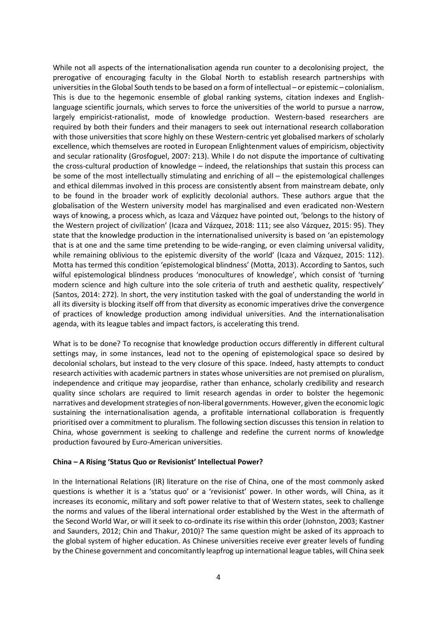While not all aspects of the internationalisation agenda run counter to a decolonising project, the prerogative of encouraging faculty in the Global North to establish research partnerships with universities in the Global South tends to be based on a form of intellectual – or epistemic – colonialism. This is due to the hegemonic ensemble of global ranking systems, citation indexes and Englishlanguage scientific journals, which serves to force the universities of the world to pursue a narrow, largely empiricist-rationalist, mode of knowledge production. Western-based researchers are required by both their funders and their managers to seek out international research collaboration with those universities that score highly on these Western-centric yet globalised markers of scholarly excellence, which themselves are rooted in European Enlightenment values of empiricism, objectivity and secular rationality (Grosfoguel, 2007: 213). While I do not dispute the importance of cultivating the cross-cultural production of knowledge – indeed, the relationships that sustain this process can be some of the most intellectually stimulating and enriching of all – the epistemological challenges and ethical dilemmas involved in this process are consistently absent from mainstream debate, only to be found in the broader work of explicitly decolonial authors. These authors argue that the globalisation of the Western university model has marginalised and even eradicated non-Western ways of knowing, a process which, as Icaza and Vázquez have pointed out, 'belongs to the history of the Western project of civilization' (Icaza and Vázquez, 2018: 111; see also Vázquez, 2015: 95). They state that the knowledge production in the internationalised university is based on 'an epistemology that is at one and the same time pretending to be wide-ranging, or even claiming universal validity, while remaining oblivious to the epistemic diversity of the world' (Icaza and Vázquez, 2015: 112). Motta has termed this condition 'epistemological blindness' (Motta, 2013). According to Santos, such wilful epistemological blindness produces 'monocultures of knowledge', which consist of 'turning modern science and high culture into the sole criteria of truth and aesthetic quality, respectively' (Santos, 2014: 272). In short, the very institution tasked with the goal of understanding the world in all its diversity is blocking itself off from that diversity as economic imperatives drive the convergence of practices of knowledge production among individual universities. And the internationalisation agenda, with its league tables and impact factors, is accelerating this trend.

What is to be done? To recognise that knowledge production occurs differently in different cultural settings may, in some instances, lead not to the opening of epistemological space so desired by decolonial scholars, but instead to the very closure of this space. Indeed, hasty attempts to conduct research activities with academic partners in states whose universities are not premised on pluralism, independence and critique may jeopardise, rather than enhance, scholarly credibility and research quality since scholars are required to limit research agendas in order to bolster the hegemonic narratives and development strategies of non-liberal governments. However, given the economic logic sustaining the internationalisation agenda, a profitable international collaboration is frequently prioritised over a commitment to pluralism. The following section discusses this tension in relation to China, whose government is seeking to challenge and redefine the current norms of knowledge production favoured by Euro-American universities.

## **China – A Rising 'Status Quo or Revisionist' Intellectual Power?**

In the International Relations (IR) literature on the rise of China, one of the most commonly asked questions is whether it is a 'status quo' or a 'revisionist' power. In other words, will China, as it increases its economic, military and soft power relative to that of Western states, seek to challenge the norms and values of the liberal international order established by the West in the aftermath of the Second World War, or will it seek to co-ordinate its rise within this order (Johnston, 2003; Kastner and Saunders, 2012; Chin and Thakur, 2010)? The same question might be asked of its approach to the global system of higher education. As Chinese universities receive ever greater levels of funding by the Chinese government and concomitantly leapfrog up international league tables, will China seek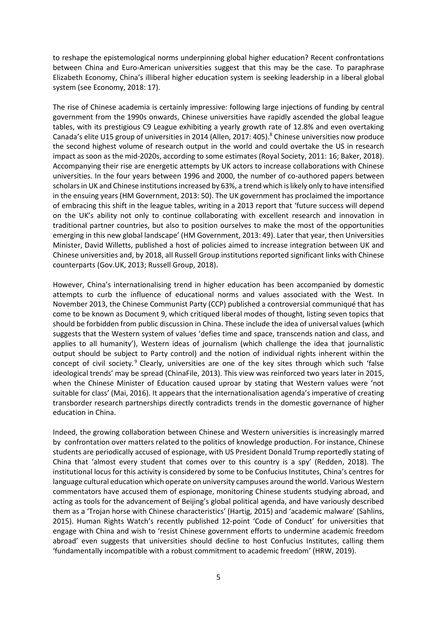to reshape the epistemological norms underpinning global higher education? Recent confrontations between China and Euro-American universities suggest that this may be the case. To paraphrase Elizabeth Economy, China's illiberal higher education system is seeking leadership in a liberal global system (see Economy, 2018: 17).

The rise of Chinese academia is certainly impressive: following large injections of funding by central government from the 1990s onwards, Chinese universities have rapidly ascended the global league tables, with its prestigious C9 League exhibiting a yearly growth rate of 12.8% and even overtaking Canada's elite U15 group of universities in 2014 (Allen, 2017: 405). <sup>8</sup> Chinese universities now produce the second highest volume of research output in the world and could overtake the US in research impact as soon as the mid-2020s, according to some estimates (Royal Society, 2011: 16; Baker, 2018). Accompanying their rise are energetic attempts by UK actors to increase collaborations with Chinese universities. In the four years between 1996 and 2000, the number of co-authored papers between scholars in UK and Chinese institutions increased by 63%, a trend which is likely only to have intensified in the ensuing years (HM Government, 2013: 50). The UK government has proclaimed the importance of embracing this shift in the league tables, writing in a 2013 report that 'future success will depend on the UK's ability not only to continue collaborating with excellent research and innovation in traditional partner countries, but also to position ourselves to make the most of the opportunities emerging in this new global landscape' (HM Government, 2013: 49). Later that year, then Universities Minister, David Willetts, published a host of policies aimed to increase integration between UK and Chinese universities and, by 2018, all Russell Group institutions reported significant links with Chinese counterparts (Gov.UK, 2013; Russell Group, 2018).

However, China's internationalising trend in higher education has been accompanied by domestic attempts to curb the influence of educational norms and values associated with the West. In November 2013, the Chinese Communist Party (CCP) published a controversial communiqué that has come to be known as Document 9, which critiqued liberal modes of thought, listing seven topics that should be forbidden from public discussion in China. These include the idea of universal values (which suggests that the Western system of values 'defies time and space, transcends nation and class, and applies to all humanity'), Western ideas of journalism (which challenge the idea that journalistic output should be subject to Party control) and the notion of individual rights inherent within the concept of civil society.<sup>9</sup> Clearly, universities are one of the key sites through which such 'false ideological trends' may be spread (ChinaFile, 2013). This view was reinforced two years later in 2015, when the Chinese Minister of Education caused uproar by stating that Western values were 'not suitable for class' (Mai, 2016). It appears that the internationalisation agenda's imperative of creating transborder research partnerships directly contradicts trends in the domestic governance of higher education in China.

Indeed, the growing collaboration between Chinese and Western universities is increasingly marred by confrontation over matters related to the politics of knowledge production. For instance, Chinese students are periodically accused of espionage, with US President Donald Trump reportedly stating of China that 'almost every student that comes over to this country is a spy' (Redden, 2018). The institutional locus for this activity is considered by some to be Confucius Institutes, China's centres for language cultural education which operate on university campuses around the world. Various Western commentators have accused them of espionage, monitoring Chinese students studying abroad, and acting as tools for the advancement of Beijing's global political agenda, and have variously described them as a 'Trojan horse with Chinese characteristics' (Hartig, 2015) and 'academic malware' (Sahlins, 2015). Human Rights Watch's recently published 12-point 'Code of Conduct' for universities that engage with China and wish to 'resist Chinese government efforts to undermine academic freedom abroad' even suggests that universities should decline to host Confucius Institutes, calling them 'fundamentally incompatible with a robust commitment to academic freedom' (HRW, 2019).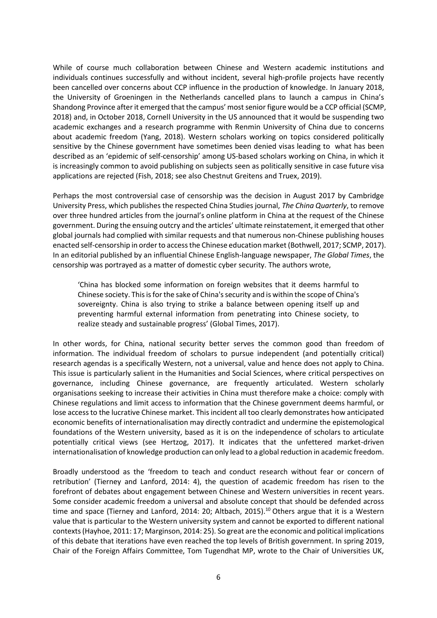While of course much collaboration between Chinese and Western academic institutions and individuals continues successfully and without incident, several high-profile projects have recently been cancelled over concerns about CCP influence in the production of knowledge. In January 2018, the University of Groeningen in the Netherlands cancelled plans to launch a campus in China's Shandong Province after it emerged that the campus' most senior figure would be a CCP official (SCMP, 2018) and, in October 2018, Cornell University in the US announced that it would be suspending two academic exchanges and a research programme with Renmin University of China due to concerns about academic freedom (Yang, 2018). Western scholars working on topics considered politically sensitive by the Chinese government have sometimes been denied visas leading to what has been described as an 'epidemic of self-censorship' among US-based scholars working on China, in which it is increasingly common to avoid publishing on subjects seen as politically sensitive in case future visa applications are rejected (Fish, 2018; see also Chestnut Greitens and Truex, 2019).

Perhaps the most controversial case of censorship was the decision in August 2017 by Cambridge University Press, which publishes the respected China Studies journal, *The China Quarterly*, to remove over three hundred articles from the journal's online platform in China at the request of the Chinese government. During the ensuing outcry and the articles' ultimate reinstatement, it emerged that other global journals had complied with similar requests and that numerous non-Chinese publishing houses enacted self-censorship in order to access the Chinese education market (Bothwell, 2017; SCMP, 2017). In an editorial published by an influential Chinese English-language newspaper, *The Global Times*, the censorship was portrayed as a matter of domestic cyber security. The authors wrote,

'China has blocked some information on foreign websites that it deems harmful to Chinese society. This is for the sake of China's security and is within the scope of China's sovereignty. China is also trying to strike a balance between opening itself up and preventing harmful external information from penetrating into Chinese society, to realize steady and sustainable progress' (Global Times, 2017).

In other words, for China, national security better serves the common good than freedom of information. The individual freedom of scholars to pursue independent (and potentially critical) research agendas is a specifically Western, not a universal, value and hence does not apply to China. This issue is particularly salient in the Humanities and Social Sciences, where critical perspectives on governance, including Chinese governance, are frequently articulated. Western scholarly organisations seeking to increase their activities in China must therefore make a choice: comply with Chinese regulations and limit access to information that the Chinese government deems harmful, or lose access to the lucrative Chinese market. This incident all too clearly demonstrates how anticipated economic benefits of internationalisation may directly contradict and undermine the epistemological foundations of the Western university, based as it is on the independence of scholars to articulate potentially critical views (see Hertzog, 2017). It indicates that the unfettered market-driven internationalisation of knowledge production can only lead to a global reduction in academic freedom.

Broadly understood as the 'freedom to teach and conduct research without fear or concern of retribution' (Tierney and Lanford, 2014: 4), the question of academic freedom has risen to the forefront of debates about engagement between Chinese and Western universities in recent years. Some consider academic freedom a universal and absolute concept that should be defended across time and space (Tierney and Lanford, 2014: 20; Altbach, 2015).<sup>10</sup> Others argue that it is a Western value that is particular to the Western university system and cannot be exported to different national contexts (Hayhoe, 2011: 17; Marginson, 2014: 25). So great are the economic and political implications of this debate that iterations have even reached the top levels of British government. In spring 2019, Chair of the Foreign Affairs Committee, Tom Tugendhat MP, wrote to the Chair of Universities UK,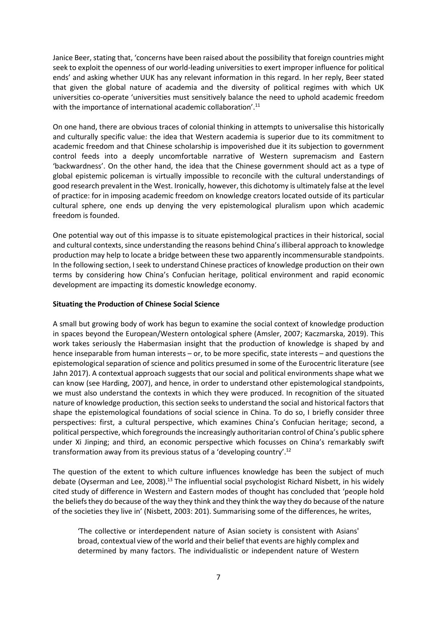Janice Beer, stating that, 'concerns have been raised about the possibility that foreign countries might seek to exploit the openness of our world-leading universities to exert improper influence for political ends' and asking whether UUK has any relevant information in this regard. In her reply, Beer stated that given the global nature of academia and the diversity of political regimes with which UK universities co-operate 'universities must sensitively balance the need to uphold academic freedom with the importance of international academic collaboration'.<sup>11</sup>

On one hand, there are obvious traces of colonial thinking in attempts to universalise this historically and culturally specific value: the idea that Western academia is superior due to its commitment to academic freedom and that Chinese scholarship is impoverished due it its subjection to government control feeds into a deeply uncomfortable narrative of Western supremacism and Eastern 'backwardness'. On the other hand, the idea that the Chinese government should act as a type of global epistemic policeman is virtually impossible to reconcile with the cultural understandings of good research prevalent in the West. Ironically, however, this dichotomy is ultimately false at the level of practice: for in imposing academic freedom on knowledge creators located outside of its particular cultural sphere, one ends up denying the very epistemological pluralism upon which academic freedom is founded.

One potential way out of this impasse is to situate epistemological practices in their historical, social and cultural contexts, since understanding the reasons behind China's illiberal approach to knowledge production may help to locate a bridge between these two apparently incommensurable standpoints. In the following section, I seek to understand Chinese practices of knowledge production on their own terms by considering how China's Confucian heritage, political environment and rapid economic development are impacting its domestic knowledge economy.

## **Situating the Production of Chinese Social Science**

A small but growing body of work has begun to examine the social context of knowledge production in spaces beyond the European/Western ontological sphere (Amsler, 2007; Kaczmarska, 2019). This work takes seriously the Habermasian insight that the production of knowledge is shaped by and hence inseparable from human interests – or, to be more specific, state interests – and questions the epistemological separation of science and politics presumed in some of the Eurocentric literature (see Jahn 2017). A contextual approach suggests that our social and political environments shape what we can know (see Harding, 2007), and hence, in order to understand other epistemological standpoints, we must also understand the contexts in which they were produced. In recognition of the situated nature of knowledge production, this section seeks to understand the social and historical factors that shape the epistemological foundations of social science in China. To do so, I briefly consider three perspectives: first, a cultural perspective, which examines China's Confucian heritage; second, a political perspective, which foregrounds the increasingly authoritarian control of China's public sphere under Xi Jinping; and third, an economic perspective which focusses on China's remarkably swift transformation away from its previous status of a 'developing country'. 12

The question of the extent to which culture influences knowledge has been the subject of much debate (Oyserman and Lee, 2008).<sup>13</sup> The influential social psychologist Richard Nisbett, in his widely cited study of difference in Western and Eastern modes of thought has concluded that 'people hold the beliefs they do because of the way they think and they think the way they do because of the nature of the societies they live in' (Nisbett, 2003: 201). Summarising some of the differences, he writes,

'The collective or interdependent nature of Asian society is consistent with Asians' broad, contextual view of the world and their belief that events are highly complex and determined by many factors. The individualistic or independent nature of Western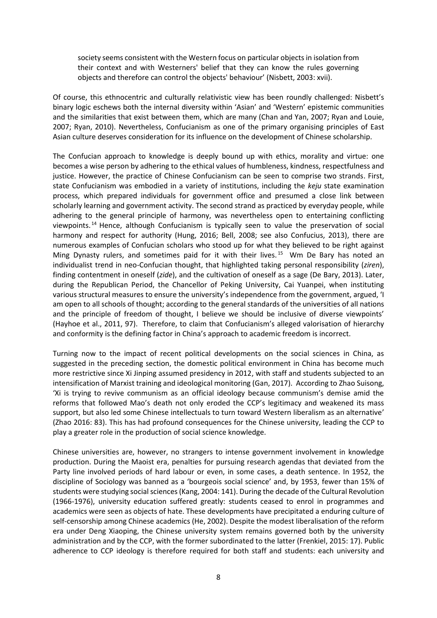society seems consistent with the Western focus on particular objects in isolation from their context and with Westerners' belief that they can know the rules governing objects and therefore can control the objects' behaviour' (Nisbett, 2003: xvii).

Of course, this ethnocentric and culturally relativistic view has been roundly challenged: Nisbett's binary logic eschews both the internal diversity within 'Asian' and 'Western' epistemic communities and the similarities that exist between them, which are many (Chan and Yan, 2007; Ryan and Louie, 2007; Ryan, 2010). Nevertheless, Confucianism as one of the primary organising principles of East Asian culture deserves consideration for its influence on the development of Chinese scholarship.

The Confucian approach to knowledge is deeply bound up with ethics, morality and virtue: one becomes a wise person by adhering to the ethical values of humbleness, kindness, respectfulness and justice. However, the practice of Chinese Confucianism can be seen to comprise two strands. First, state Confucianism was embodied in a variety of institutions, including the *keju* state examination process, which prepared individuals for government office and presumed a close link between scholarly learning and government activity. The second strand as practiced by everyday people, while adhering to the general principle of harmony, was nevertheless open to entertaining conflicting viewpoints. <sup>14</sup> Hence, although Confucianism is typically seen to value the preservation of social harmony and respect for authority (Hung, 2016; Bell, 2008; see also Confucius, 2013), there are numerous examples of Confucian scholars who stood up for what they believed to be right against Ming Dynasty rulers, and sometimes paid for it with their lives. <sup>15</sup> Wm De Bary has noted an individualist trend in neo-Confucian thought, that highlighted taking personal responsibility (*ziren*), finding contentment in oneself (*zide*), and the cultivation of oneself as a sage (De Bary, 2013). Later, during the Republican Period, the Chancellor of Peking University, Cai Yuanpei, when instituting various structural measures to ensure the university's independence from the government, argued, 'I am open to all schools of thought; according to the general standards of the universities of all nations and the principle of freedom of thought, I believe we should be inclusive of diverse viewpoints' (Hayhoe et al., 2011, 97). Therefore, to claim that Confucianism's alleged valorisation of hierarchy and conformity is the defining factor in China's approach to academic freedom is incorrect.

Turning now to the impact of recent political developments on the social sciences in China, as suggested in the preceding section, the domestic political environment in China has become much more restrictive since Xi Jinping assumed presidency in 2012, with staff and students subjected to an intensification of Marxist training and ideological monitoring (Gan, 2017). According to Zhao Suisong, 'Xi is trying to revive communism as an official ideology because communism's demise amid the reforms that followed Mao's death not only eroded the CCP's legitimacy and weakened its mass support, but also led some Chinese intellectuals to turn toward Western liberalism as an alternative' (Zhao 2016: 83). This has had profound consequences for the Chinese university, leading the CCP to play a greater role in the production of social science knowledge.

Chinese universities are, however, no strangers to intense government involvement in knowledge production. During the Maoist era, penalties for pursuing research agendas that deviated from the Party line involved periods of hard labour or even, in some cases, a death sentence. In 1952, the discipline of Sociology was banned as a 'bourgeois social science' and, by 1953, fewer than 15% of students were studying social sciences (Kang, 2004: 141). During the decade of the Cultural Revolution (1966-1976), university education suffered greatly: students ceased to enrol in programmes and academics were seen as objects of hate. These developments have precipitated a enduring culture of self-censorship among Chinese academics (He, 2002). Despite the modest liberalisation of the reform era under Deng Xiaoping, the Chinese university system remains governed both by the university administration and by the CCP, with the former subordinated to the latter (Frenkiel, 2015: 17). Public adherence to CCP ideology is therefore required for both staff and students: each university and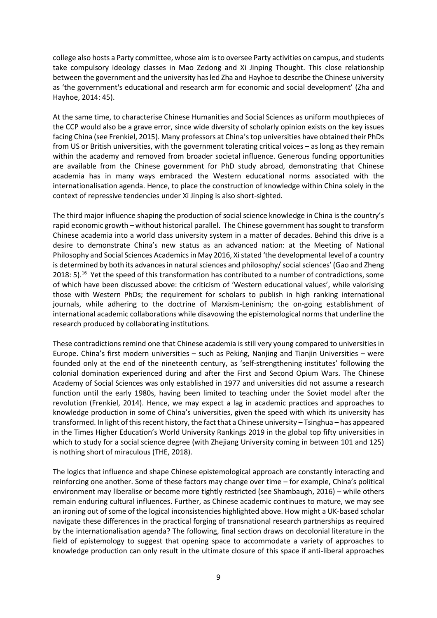college also hosts a Party committee, whose aim is to oversee Party activities on campus, and students take compulsory ideology classes in Mao Zedong and Xi Jinping Thought. This close relationship between the government and the university has led Zha and Hayhoe to describe the Chinese university as 'the government's educational and research arm for economic and social development' (Zha and Hayhoe, 2014: 45).

At the same time, to characterise Chinese Humanities and Social Sciences as uniform mouthpieces of the CCP would also be a grave error, since wide diversity of scholarly opinion exists on the key issues facing China (see Frenkiel, 2015). Many professors at China's top universities have obtained their PhDs from US or British universities, with the government tolerating critical voices – as long as they remain within the academy and removed from broader societal influence. Generous funding opportunities are available from the Chinese government for PhD study abroad, demonstrating that Chinese academia has in many ways embraced the Western educational norms associated with the internationalisation agenda. Hence, to place the construction of knowledge within China solely in the context of repressive tendencies under Xi Jinping is also short-sighted.

The third major influence shaping the production of social science knowledge in China is the country's rapid economic growth – without historical parallel. The Chinese government has sought to transform Chinese academia into a world class university system in a matter of decades. Behind this drive is a desire to demonstrate China's new status as an advanced nation: at the Meeting of National Philosophy and Social Sciences Academics in May 2016, Xi stated 'the developmental level of a country is determined by both its advances in natural sciences and philosophy/ social sciences' (Gao and Zheng 2018: 5).<sup>16</sup> Yet the speed of this transformation has contributed to a number of contradictions, some of which have been discussed above: the criticism of 'Western educational values', while valorising those with Western PhDs; the requirement for scholars to publish in high ranking international journals, while adhering to the doctrine of Marxism-Leninism; the on-going establishment of international academic collaborations while disavowing the epistemological norms that underline the research produced by collaborating institutions.

These contradictions remind one that Chinese academia is still very young compared to universities in Europe. China's first modern universities – such as Peking, Nanjing and Tianjin Universities – were founded only at the end of the nineteenth century, as 'self-strengthening institutes' following the colonial domination experienced during and after the First and Second Opium Wars. The Chinese Academy of Social Sciences was only established in 1977 and universities did not assume a research function until the early 1980s, having been limited to teaching under the Soviet model after the revolution (Frenkiel, 2014). Hence, we may expect a lag in academic practices and approaches to knowledge production in some of China's universities, given the speed with which its university has transformed. In light of this recent history, the fact that a Chinese university – Tsinghua – has appeared in the Times Higher Education's World University Rankings 2019 in the global top fifty universities in which to study for a social science degree (with Zhejiang University coming in between 101 and 125) is nothing short of miraculous (THE, 2018).

The logics that influence and shape Chinese epistemological approach are constantly interacting and reinforcing one another. Some of these factors may change over time – for example, China's political environment may liberalise or become more tightly restricted (see Shambaugh, 2016) – while others remain enduring cultural influences. Further, as Chinese academic continues to mature, we may see an ironing out of some of the logical inconsistencies highlighted above. How might a UK-based scholar navigate these differences in the practical forging of transnational research partnerships as required by the internationalisation agenda? The following, final section draws on decolonial literature in the field of epistemology to suggest that opening space to accommodate a variety of approaches to knowledge production can only result in the ultimate closure of this space if anti-liberal approaches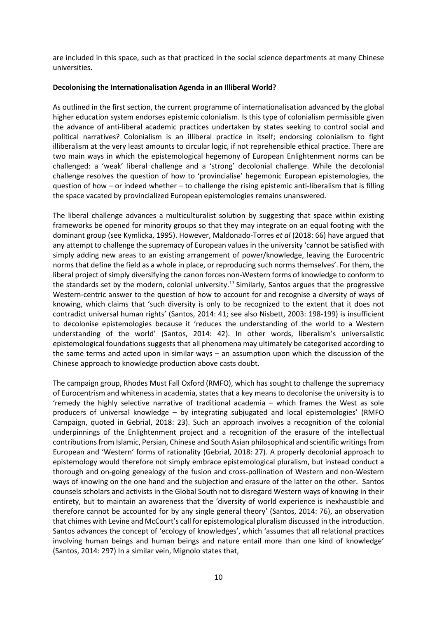are included in this space, such as that practiced in the social science departments at many Chinese universities.

# **Decolonising the Internationalisation Agenda in an Illiberal World?**

As outlined in the first section, the current programme of internationalisation advanced by the global higher education system endorses epistemic colonialism. Is this type of colonialism permissible given the advance of anti-liberal academic practices undertaken by states seeking to control social and political narratives? Colonialism is an illiberal practice in itself; endorsing colonialism to fight illiberalism at the very least amounts to circular logic, if not reprehensible ethical practice. There are two main ways in which the epistemological hegemony of European Enlightenment norms can be challenged: a 'weak' liberal challenge and a 'strong' decolonial challenge. While the decolonial challenge resolves the question of how to 'provincialise' hegemonic European epistemologies, the question of how – or indeed whether – to challenge the rising epistemic anti-liberalism that is filling the space vacated by provincialized European epistemologies remains unanswered.

The liberal challenge advances a multiculturalist solution by suggesting that space within existing frameworks be opened for minority groups so that they may integrate on an equal footing with the dominant group (see Kymlicka, 1995). However, Maldonado-Torres *et al* (2018: 66) have argued that any attempt to challenge the supremacy of European values in the university 'cannot be satisfied with simply adding new areas to an existing arrangement of power/knowledge, leaving the Eurocentric norms that define the field as a whole in place, or reproducing such norms themselves'. For them, the liberal project of simply diversifying the canon forces non-Western forms of knowledge to conform to the standards set by the modern, colonial university.<sup>17</sup> Similarly, Santos argues that the progressive Western-centric answer to the question of how to account for and recognise a diversity of ways of knowing, which claims that 'such diversity is only to be recognized to the extent that it does not contradict universal human rights' (Santos, 2014: 41; see also Nisbett, 2003: 198-199) is insufficient to decolonise epistemologies because it 'reduces the understanding of the world to a Western understanding of the world' (Santos, 2014: 42). In other words, liberalism's universalistic epistemological foundations suggests that all phenomena may ultimately be categorised according to the same terms and acted upon in similar ways – an assumption upon which the discussion of the Chinese approach to knowledge production above casts doubt.

The campaign group, Rhodes Must Fall Oxford (RMFO), which has sought to challenge the supremacy of Eurocentrism and whiteness in academia, states that a key means to decolonise the university is to 'remedy the highly selective narrative of traditional academia – which frames the West as sole producers of universal knowledge – by integrating subjugated and local epistemologies' (RMFO Campaign, quoted in Gebrial, 2018: 23). Such an approach involves a recognition of the colonial underpinnings of the Enlightenment project and a recognition of the erasure of the intellectual contributions from Islamic, Persian, Chinese and South Asian philosophical and scientific writings from European and 'Western' forms of rationality (Gebrial, 2018: 27). A properly decolonial approach to epistemology would therefore not simply embrace epistemological pluralism, but instead conduct a thorough and on-going genealogy of the fusion and cross-pollination of Western and non-Western ways of knowing on the one hand and the subjection and erasure of the latter on the other. Santos counsels scholars and activists in the Global South not to disregard Western ways of knowing in their entirety, but to maintain an awareness that the 'diversity of world experience is inexhaustible and therefore cannot be accounted for by any single general theory' (Santos, 2014: 76), an observation that chimes with Levine and McCourt's call for epistemological pluralism discussed in the introduction. Santos advances the concept of 'ecology of knowledges', which 'assumes that all relational practices involving human beings and human beings and nature entail more than one kind of knowledge' (Santos, 2014: 297) In a similar vein, Mignolo states that,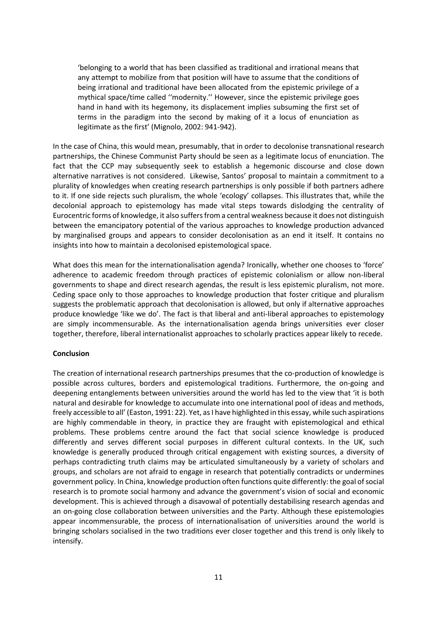'belonging to a world that has been classified as traditional and irrational means that any attempt to mobilize from that position will have to assume that the conditions of being irrational and traditional have been allocated from the epistemic privilege of a mythical space/time called ''modernity.'' However, since the epistemic privilege goes hand in hand with its hegemony, its displacement implies subsuming the first set of terms in the paradigm into the second by making of it a locus of enunciation as legitimate as the first' (Mignolo, 2002: 941-942).

In the case of China, this would mean, presumably, that in order to decolonise transnational research partnerships, the Chinese Communist Party should be seen as a legitimate locus of enunciation. The fact that the CCP may subsequently seek to establish a hegemonic discourse and close down alternative narratives is not considered. Likewise, Santos' proposal to maintain a commitment to a plurality of knowledges when creating research partnerships is only possible if both partners adhere to it. If one side rejects such pluralism, the whole 'ecology' collapses. This illustrates that, while the decolonial approach to epistemology has made vital steps towards dislodging the centrality of Eurocentric forms of knowledge, it also suffers from a central weakness because it does not distinguish between the emancipatory potential of the various approaches to knowledge production advanced by marginalised groups and appears to consider decolonisation as an end it itself. It contains no insights into how to maintain a decolonised epistemological space.

What does this mean for the internationalisation agenda? Ironically, whether one chooses to 'force' adherence to academic freedom through practices of epistemic colonialism or allow non-liberal governments to shape and direct research agendas, the result is less epistemic pluralism, not more. Ceding space only to those approaches to knowledge production that foster critique and pluralism suggests the problematic approach that decolonisation is allowed, but only if alternative approaches produce knowledge 'like we do'. The fact is that liberal and anti-liberal approaches to epistemology are simply incommensurable. As the internationalisation agenda brings universities ever closer together, therefore, liberal internationalist approaches to scholarly practices appear likely to recede.

## **Conclusion**

The creation of international research partnerships presumes that the co-production of knowledge is possible across cultures, borders and epistemological traditions. Furthermore, the on-going and deepening entanglements between universities around the world has led to the view that 'it is both natural and desirable for knowledge to accumulate into one international pool of ideas and methods, freely accessible to all' (Easton, 1991: 22). Yet, as I have highlighted in this essay, while such aspirations are highly commendable in theory, in practice they are fraught with epistemological and ethical problems. These problems centre around the fact that social science knowledge is produced differently and serves different social purposes in different cultural contexts. In the UK, such knowledge is generally produced through critical engagement with existing sources, a diversity of perhaps contradicting truth claims may be articulated simultaneously by a variety of scholars and groups, and scholars are not afraid to engage in research that potentially contradicts or undermines government policy. In China, knowledge production often functions quite differently: the goal of social research is to promote social harmony and advance the government's vision of social and economic development. This is achieved through a disavowal of potentially destabilising research agendas and an on-going close collaboration between universities and the Party. Although these epistemologies appear incommensurable, the process of internationalisation of universities around the world is bringing scholars socialised in the two traditions ever closer together and this trend is only likely to intensify.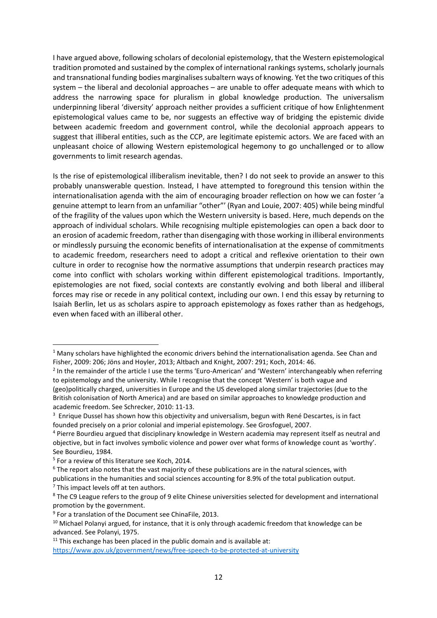I have argued above, following scholars of decolonial epistemology, that the Western epistemological tradition promoted and sustained by the complex of international rankings systems, scholarly journals and transnational funding bodies marginalises subaltern ways of knowing. Yet the two critiques of this system – the liberal and decolonial approaches – are unable to offer adequate means with which to address the narrowing space for pluralism in global knowledge production. The universalism underpinning liberal 'diversity' approach neither provides a sufficient critique of how Enlightenment epistemological values came to be, nor suggests an effective way of bridging the epistemic divide between academic freedom and government control, while the decolonial approach appears to suggest that illiberal entities, such as the CCP, are legitimate epistemic actors. We are faced with an unpleasant choice of allowing Western epistemological hegemony to go unchallenged or to allow governments to limit research agendas.

Is the rise of epistemological illiberalism inevitable, then? I do not seek to provide an answer to this probably unanswerable question. Instead, I have attempted to foreground this tension within the internationalisation agenda with the aim of encouraging broader reflection on how we can foster 'a genuine attempt to learn from an unfamiliar "other"' (Ryan and Louie, 2007: 405) while being mindful of the fragility of the values upon which the Western university is based. Here, much depends on the approach of individual scholars. While recognising multiple epistemologies can open a back door to an erosion of academic freedom, rather than disengaging with those working in illiberal environments or mindlessly pursuing the economic benefits of internationalisation at the expense of commitments to academic freedom, researchers need to adopt a critical and reflexive orientation to their own culture in order to recognise how the normative assumptions that underpin research practices may come into conflict with scholars working within different epistemological traditions. Importantly, epistemologies are not fixed, social contexts are constantly evolving and both liberal and illiberal forces may rise or recede in any political context, including our own. I end this essay by returning to Isaiah Berlin, let us as scholars aspire to approach epistemology as foxes rather than as hedgehogs, even when faced with an illiberal other.

1

 $11$  This exchange has been placed in the public domain and is available at: <https://www.gov.uk/government/news/free-speech-to-be-protected-at-university>

<sup>&</sup>lt;sup>1</sup> Many scholars have highlighted the economic drivers behind the internationalisation agenda. See Chan and Fisher, 2009: 206; Jöns and Hoyler, 2013; Altbach and Knight, 2007: 291; Koch, 2014: 46.

<sup>&</sup>lt;sup>2</sup> In the remainder of the article I use the terms 'Euro-American' and 'Western' interchangeably when referring to epistemology and the university. While I recognise that the concept 'Western' is both vague and (geo)politically charged, universities in Europe and the US developed along similar trajectories (due to the British colonisation of North America) and are based on similar approaches to knowledge production and academic freedom. See Schrecker, 2010: 11-13.

<sup>&</sup>lt;sup>3</sup> Enrique Dussel has shown how this objectivity and universalism, begun with René Descartes, is in fact founded precisely on a prior colonial and imperial epistemology. See Grosfoguel, 2007.

<sup>4</sup> Pierre Bourdieu argued that disciplinary knowledge in Western academia may represent itself as neutral and objective, but in fact involves symbolic violence and power over what forms of knowledge count as 'worthy'. See Bourdieu, 1984.

<sup>5</sup> For a review of this literature see Koch, 2014.

<sup>&</sup>lt;sup>6</sup> The report also notes that the vast majority of these publications are in the natural sciences, with publications in the humanities and social sciences accounting for 8.9% of the total publication output.  $<sup>7</sup>$  This impact levels off at ten authors.</sup>

<sup>8</sup> The C9 League refers to the group of 9 elite Chinese universities selected for development and international promotion by the government.

<sup>9</sup> For a translation of the Document see ChinaFile, 2013.

<sup>&</sup>lt;sup>10</sup> Michael Polanyi argued, for instance, that it is only through academic freedom that knowledge can be advanced. See Polanyi, 1975.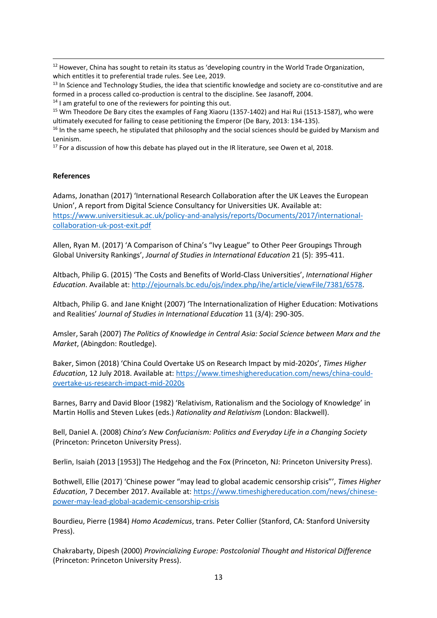<sup>12</sup> However, China has sought to retain its status as 'developing country in the World Trade Organization, which entitles it to preferential trade rules. See Lee, 2019.

<sup>13</sup> In Science and Technology Studies, the idea that scientific knowledge and society are co-constitutive and are formed in a process called co-production is central to the discipline. See Jasanoff, 2004.

 $14$  I am grateful to one of the reviewers for pointing this out.

<sup>15</sup> Wm Theodore De Bary cites the examples of Fang Xiaoru (1357-1402) and Hai Rui (1513-1587), who were ultimately executed for failing to cease petitioning the Emperor (De Bary, 2013: 134-135).

<sup>16</sup> In the same speech, he stipulated that philosophy and the social sciences should be guided by Marxism and Leninism.

 $17$  For a discussion of how this debate has played out in the IR literature, see Owen et al, 2018.

#### **References**

1

Adams, Jonathan (2017) 'International Research Collaboration after the UK Leaves the European Union', A report from Digital Science Consultancy for Universities UK. Available at: [https://www.universitiesuk.ac.uk/policy-and-analysis/reports/Documents/2017/international](https://www.universitiesuk.ac.uk/policy-and-analysis/reports/Documents/2017/international-collaboration-uk-post-exit.pdf)[collaboration-uk-post-exit.pdf](https://www.universitiesuk.ac.uk/policy-and-analysis/reports/Documents/2017/international-collaboration-uk-post-exit.pdf)

Allen, Ryan M. (2017) 'A Comparison of China's "Ivy League" to Other Peer Groupings Through Global University Rankings', *Journal of Studies in International Education* 21 (5): 395-411.

Altbach, Philip G. (2015) 'The Costs and Benefits of World-Class Universities', *International Higher Education*. Available at: [http://ejournals.bc.edu/ojs/index.php/ihe/article/viewFile/7381/6578.](http://ejournals.bc.edu/ojs/index.php/ihe/article/viewFile/7381/6578)

Altbach, Philip G. and Jane Knight (2007) 'The Internationalization of Higher Education: Motivations and Realities' *Journal of Studies in International Education* 11 (3/4): 290-305.

Amsler, Sarah (2007) *The Politics of Knowledge in Central Asia: Social Science between Marx and the Market*, (Abingdon: Routledge).

Baker, Simon (2018) 'China Could Overtake US on Research Impact by mid-2020s', *Times Higher Education*, 12 July 2018. Available at[: https://www.timeshighereducation.com/news/china-could](https://www.timeshighereducation.com/news/china-could-overtake-us-research-impact-mid-2020s)[overtake-us-research-impact-mid-2020s](https://www.timeshighereducation.com/news/china-could-overtake-us-research-impact-mid-2020s)

Barnes, Barry and David Bloor (1982) 'Relativism, Rationalism and the Sociology of Knowledge' in Martin Hollis and Steven Lukes (eds.) *Rationality and Relativism* (London: Blackwell).

Bell, Daniel A. (2008) *China's New Confucianism: Politics and Everyday Life in a Changing Society* (Princeton: Princeton University Press).

Berlin, Isaiah (2013 [1953]) The Hedgehog and the Fox (Princeton, NJ: Princeton University Press).

Bothwell, Ellie (2017) 'Chinese power "may lead to global academic censorship crisis"', *Times Higher Education*, 7 December 2017. Available at[: https://www.timeshighereducation.com/news/chinese](https://www.timeshighereducation.com/news/chinese-power-may-lead-global-academic-censorship-crisis)[power-may-lead-global-academic-censorship-crisis](https://www.timeshighereducation.com/news/chinese-power-may-lead-global-academic-censorship-crisis)

Bourdieu, Pierre (1984) *Homo Academicus*, trans. Peter Collier (Stanford, CA: Stanford University Press).

Chakrabarty, Dipesh (2000) *Provincializing Europe: Postcolonial Thought and Historical Difference* (Princeton: Princeton University Press).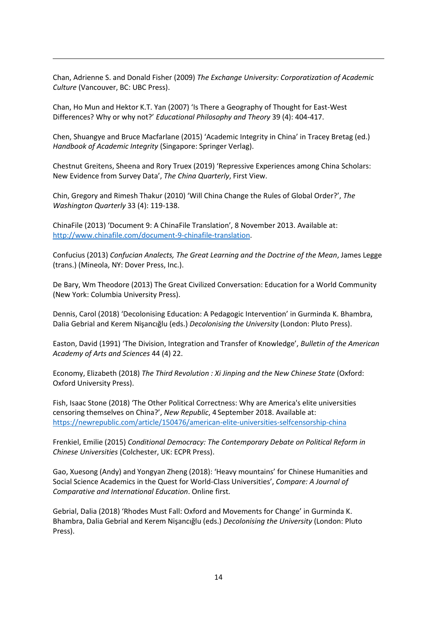Chan, Adrienne S. and Donald Fisher (2009) *The Exchange University: Corporatization of Academic Culture* (Vancouver, BC: UBC Press).

Chan, Ho Mun and Hektor K.T. Yan (2007) 'Is There a Geography of Thought for East-West Differences? Why or why not?' *Educational Philosophy and Theory* 39 (4): 404-417.

1

Chen, Shuangye and Bruce Macfarlane (2015) 'Academic Integrity in China' in Tracey Bretag (ed.) *Handbook of Academic Integrity* (Singapore: Springer Verlag).

Chestnut Greitens, Sheena and Rory Truex (2019) 'Repressive Experiences among China Scholars: New Evidence from Survey Data', *The China Quarterly*, First View.

Chin, Gregory and Rimesh Thakur (2010) 'Will China Change the Rules of Global Order?', *The Washington Quarterly* 33 (4): 119-138.

ChinaFile (2013) 'Document 9: A ChinaFile Translation', 8 November 2013. Available at: [http://www.chinafile.com/document-9-chinafile-translation.](http://www.chinafile.com/document-9-chinafile-translation)

Confucius (2013) *Confucian Analects, The Great Learning and the Doctrine of the Mean*, James Legge (trans.) (Mineola, NY: Dover Press, Inc.).

De Bary, Wm Theodore (2013) The Great Civilized Conversation: Education for a World Community (New York: Columbia University Press).

Dennis, Carol (2018) 'Decolonising Education: A Pedagogic Intervention' in Gurminda K. Bhambra, Dalia Gebrial and Kerem Nişancığlu (eds.) *Decolonising the University* (London: Pluto Press).

Easton, David (1991) 'The Division, Integration and Transfer of Knowledge', *Bulletin of the American Academy of Arts and Sciences* 44 (4) 22.

Economy, Elizabeth (2018) *The Third Revolution : Xi Jinping and the New Chinese State* (Oxford: Oxford University Press).

Fish, Isaac Stone (2018) 'The Other Political Correctness: Why are America's elite universities censoring themselves on China?', *New Republic*, 4 September 2018. Available at: <https://newrepublic.com/article/150476/american-elite-universities-selfcensorship-china>

Frenkiel, Emilie (2015) *Conditional Democracy: The Contemporary Debate on Political Reform in Chinese Universities* (Colchester, UK: ECPR Press).

Gao, Xuesong (Andy) and Yongyan Zheng (2018): 'Heavy mountains' for Chinese Humanities and Social Science Academics in the Quest for World-Class Universities', *Compare: A Journal of Comparative and International Education*. Online first.

Gebrial, Dalia (2018) 'Rhodes Must Fall: Oxford and Movements for Change' in Gurminda K. Bhambra, Dalia Gebrial and Kerem Nişancığlu (eds.) *Decolonising the University* (London: Pluto Press).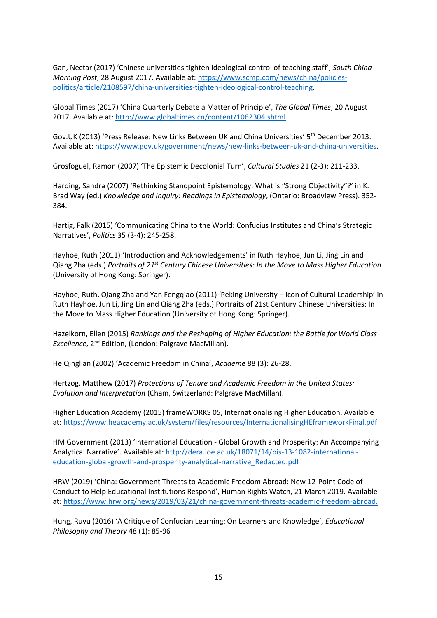Gan, Nectar (2017) 'Chinese universities tighten ideological control of teaching staff', *South China Morning Post*, 28 August 2017. Available at[: https://www.scmp.com/news/china/policies](https://www.scmp.com/news/china/policies-politics/article/2108597/china-universities-tighten-ideological-control-teaching)[politics/article/2108597/china-universities-tighten-ideological-control-teaching.](https://www.scmp.com/news/china/policies-politics/article/2108597/china-universities-tighten-ideological-control-teaching)

1

Global Times (2017) 'China Quarterly Debate a Matter of Principle', *The Global Times*, 20 August 2017. Available at: [http://www.globaltimes.cn/content/1062304.shtml.](http://www.globaltimes.cn/content/1062304.shtml)

Gov.UK (2013) 'Press Release: New Links Between UK and China Universities' 5<sup>th</sup> December 2013. Available at[: https://www.gov.uk/government/news/new-links-between-uk-and-china-universities.](https://www.gov.uk/government/news/new-links-between-uk-and-china-universities)

Grosfoguel, Ramón (2007) 'The Epistemic Decolonial Turn', *Cultural Studies* 21 (2-3): 211-233.

Harding, Sandra (2007) 'Rethinking Standpoint Epistemology: What is "Strong Objectivity"?' in K. Brad Way (ed.) *Knowledge and Inquiry: Readings in Epistemology*, (Ontario: Broadview Press). 352- 384.

Hartig, Falk (2015) 'Communicating China to the World: Confucius Institutes and China's Strategic Narratives', *Politics* 35 (3-4): 245-258.

Hayhoe, Ruth (2011) 'Introduction and Acknowledgements' in Ruth Hayhoe, Jun Li, Jing Lin and Qiang Zha (eds.) *Portraits of 21st Century Chinese Universities: In the Move to Mass Higher Education* (University of Hong Kong: Springer).

Hayhoe, Ruth, Qiang Zha and Yan Fengqiao (2011) 'Peking University – Icon of Cultural Leadership' in Ruth Hayhoe, Jun Li, Jing Lin and Qiang Zha (eds.) Portraits of 21st Century Chinese Universities: In the Move to Mass Higher Education (University of Hong Kong: Springer).

Hazelkorn, Ellen (2015) *Rankings and the Reshaping of Higher Education: the Battle for World Class Excellence*, 2nd Edition, (London: Palgrave MacMillan).

He Qinglian (2002) 'Academic Freedom in China', *Academe* 88 (3): 26-28.

Hertzog, Matthew (2017) *Protections of Tenure and Academic Freedom in the United States: Evolution and Interpretation* (Cham, Switzerland: Palgrave MacMillan).

Higher Education Academy (2015) frameWORKS 05, Internationalising Higher Education. Available at:<https://www.heacademy.ac.uk/system/files/resources/InternationalisingHEframeworkFinal.pdf>

HM Government (2013) 'International Education - Global Growth and Prosperity: An Accompanying Analytical Narrative'. Available at: [http://dera.ioe.ac.uk/18071/14/bis-13-1082-international](http://dera.ioe.ac.uk/18071/14/bis-13-1082-international-education-global-growth-and-prosperity-analytical-narrative_Redacted.pdf)[education-global-growth-and-prosperity-analytical-narrative\\_Redacted.pdf](http://dera.ioe.ac.uk/18071/14/bis-13-1082-international-education-global-growth-and-prosperity-analytical-narrative_Redacted.pdf)

HRW (2019) 'China: Government Threats to Academic Freedom Abroad: New 12-Point Code of Conduct to Help Educational Institutions Respond', Human Rights Watch, 21 March 2019. Available at: [https://www.hrw.org/news/2019/03/21/china-government-threats-academic-freedom-abroad.](https://www.hrw.org/news/2019/03/21/china-government-threats-academic-freedom-abroad)

Hung, Ruyu (2016) 'A Critique of Confucian Learning: On Learners and Knowledge', *Educational Philosophy and Theory* 48 (1): 85-96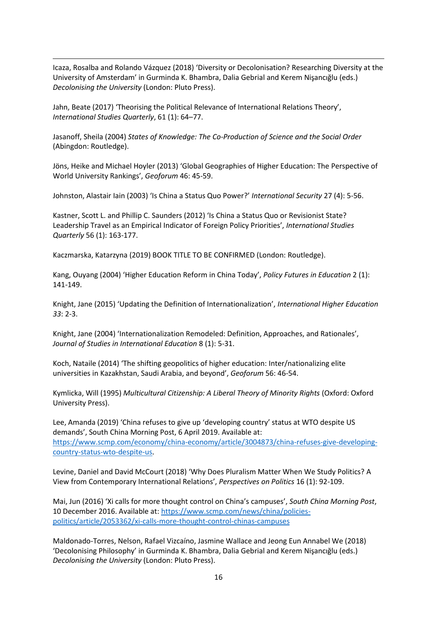Icaza, Rosalba and Rolando Vázquez (2018) 'Diversity or Decolonisation? Researching Diversity at the University of Amsterdam' in Gurminda K. Bhambra, Dalia Gebrial and Kerem Nişancığlu (eds.) *Decolonising the University* (London: Pluto Press).

Jahn, Beate (2017) 'Theorising the Political Relevance of International Relations Theory', *International Studies Quarterly*, 61 (1): 64–77.

1

Jasanoff, Sheila (2004) *States of Knowledge: The Co-Production of Science and the Social Order* (Abingdon: Routledge).

Jöns, Heike and Michael Hoyler (2013) 'Global Geographies of Higher Education: The Perspective of World University Rankings', *Geoforum* 46: 45-59.

Johnston, Alastair Iain (2003) 'Is China a Status Quo Power?' *International Security* 27 (4): 5-56.

Kastner, Scott L. and Phillip C. Saunders (2012) 'Is China a Status Quo or Revisionist State? Leadership Travel as an Empirical Indicator of Foreign Policy Priorities', *International Studies Quarterly* 56 (1): 163-177.

Kaczmarska, Katarzyna (2019) BOOK TITLE TO BE CONFIRMED (London: Routledge).

Kang, Ouyang (2004) 'Higher Education Reform in China Today', *Policy Futures in Education* 2 (1): 141-149.

Knight, Jane (2015) 'Updating the Definition of Internationalization', *International Higher Education 33*: 2-3.

Knight, Jane (2004) 'Internationalization Remodeled: Definition, Approaches, and Rationales', *Journal of Studies in International Education* 8 (1): 5-31.

Koch, Nataile (2014) 'The shifting geopolitics of higher education: Inter/nationalizing elite universities in Kazakhstan, Saudi Arabia, and beyond', *Geoforum* 56: 46-54.

Kymlicka, Will (1995) *Multicultural Citizenship: A Liberal Theory of Minority Rights* (Oxford: Oxford University Press).

Lee, Amanda (2019) 'China refuses to give up 'developing country' status at WTO despite US demands', South China Morning Post, 6 April 2019. Available at: [https://www.scmp.com/economy/china-economy/article/3004873/china-refuses-give-developing](https://www.scmp.com/economy/china-economy/article/3004873/china-refuses-give-developing-country-status-wto-despite-us)[country-status-wto-despite-us.](https://www.scmp.com/economy/china-economy/article/3004873/china-refuses-give-developing-country-status-wto-despite-us)

Levine, Daniel and David McCourt (2018) 'Why Does Pluralism Matter When We Study Politics? A View from Contemporary International Relations', *Perspectives on Politics* 16 (1): 92-109.

Mai, Jun (2016) 'Xi calls for more thought control on China's campuses', *South China Morning Post*, 10 December 2016. Available at[: https://www.scmp.com/news/china/policies](https://www.scmp.com/news/china/policies-politics/article/2053362/xi-calls-more-thought-control-chinas-campuses)[politics/article/2053362/xi-calls-more-thought-control-chinas-campuses](https://www.scmp.com/news/china/policies-politics/article/2053362/xi-calls-more-thought-control-chinas-campuses)

Maldonado-Torres, Nelson, Rafael Vizcaíno, Jasmine Wallace and Jeong Eun Annabel We (2018) 'Decolonising Philosophy' in Gurminda K. Bhambra, Dalia Gebrial and Kerem Nişancığlu (eds.) *Decolonising the University* (London: Pluto Press).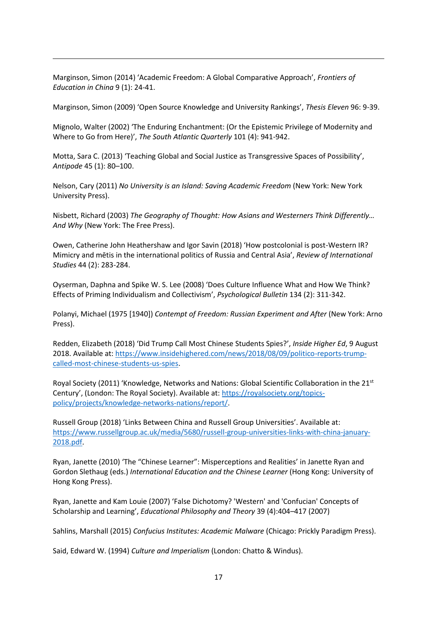Marginson, Simon (2014) 'Academic Freedom: A Global Comparative Approach', *Frontiers of Education in China* 9 (1): 24-41.

1

Marginson, Simon (2009) 'Open Source Knowledge and University Rankings', *Thesis Eleven* 96: 9-39.

Mignolo, Walter (2002) 'The Enduring Enchantment: (Or the Epistemic Privilege of Modernity and Where to Go from Here)', *The South Atlantic Quarterly* 101 (4): 941-942.

Motta, Sara C. (2013) 'Teaching Global and Social Justice as Transgressive Spaces of Possibility', *Antipode* 45 (1): 80–100.

Nelson, Cary (2011) *No University is an Island: Saving Academic Freedom* (New York: New York University Press).

Nisbett, Richard (2003) *The Geography of Thought: How Asians and Westerners Think Differently… And Why* (New York: The Free Press).

Owen, Catherine John Heathershaw and Igor Savin (2018) 'How postcolonial is post-Western IR? Mimicry and mētis in the international politics of Russia and Central Asia', *Review of International Studies* 44 (2): 283-284.

Oyserman, Daphna and Spike W. S. Lee (2008) 'Does Culture Influence What and How We Think? Effects of Priming Individualism and Collectivism', *Psychological Bulletin* 134 (2): 311-342.

Polanyi, Michael (1975 [1940]) *Contempt of Freedom: Russian Experiment and After* (New York: Arno Press).

Redden, Elizabeth (2018) 'Did Trump Call Most Chinese Students Spies?', *Inside Higher Ed*, 9 August 2018. Available at: [https://www.insidehighered.com/news/2018/08/09/politico-reports-trump](https://www.insidehighered.com/news/2018/08/09/politico-reports-trump-called-most-chinese-students-us-spies)[called-most-chinese-students-us-spies.](https://www.insidehighered.com/news/2018/08/09/politico-reports-trump-called-most-chinese-students-us-spies)

Royal Society (2011) 'Knowledge, Networks and Nations: Global Scientific Collaboration in the 21st Century', (London: The Royal Society). Available at: [https://royalsociety.org/topics](https://royalsociety.org/topics-policy/projects/knowledge-networks-nations/report/)[policy/projects/knowledge-networks-nations/report/.](https://royalsociety.org/topics-policy/projects/knowledge-networks-nations/report/)

Russell Group (2018) 'Links Between China and Russell Group Universities'. Available at: [https://www.russellgroup.ac.uk/media/5680/russell-group-universities-links-with-china-january-](https://www.russellgroup.ac.uk/media/5680/russell-group-universities-links-with-china-january-2018.pdf)[2018.pdf.](https://www.russellgroup.ac.uk/media/5680/russell-group-universities-links-with-china-january-2018.pdf)

Ryan, Janette (2010) 'The "Chinese Learner": Misperceptions and Realities' in Janette Ryan and Gordon Slethaug (eds.) *International Education and the Chinese Learner* (Hong Kong: University of Hong Kong Press).

Ryan, Janette and Kam Louie (2007) 'False Dichotomy? 'Western' and 'Confucian' Concepts of Scholarship and Learning', *Educational Philosophy and Theory* 39 (4):404–417 (2007)

Sahlins, Marshall (2015) *Confucius Institutes: Academic Malware* (Chicago: Prickly Paradigm Press).

Said, Edward W. (1994) *Culture and Imperialism* (London: Chatto & Windus).